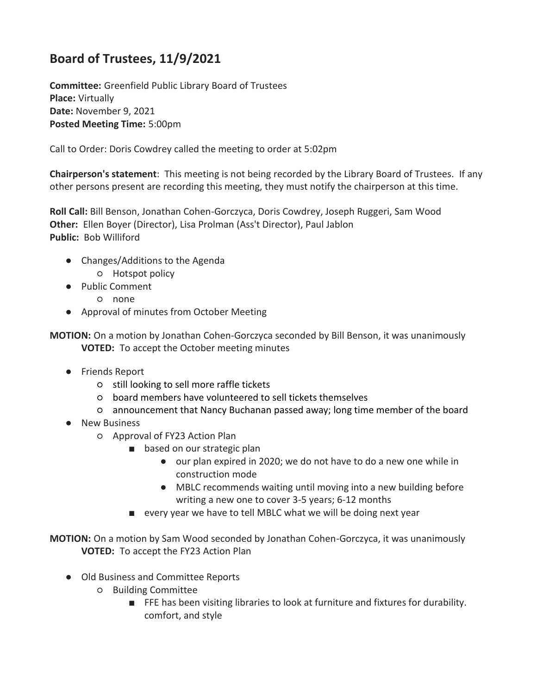## **Board of Trustees, 11/9/2021**

**Committee:** Greenfield Public Library Board of Trustees **Place:** Virtually **Date:** November 9, 2021 **Posted Meeting Time:** 5:00pm

Call to Order: Doris Cowdrey called the meeting to order at 5:02pm

**Chairperson's statement**: This meeting is not being recorded by the Library Board of Trustees. If any other persons present are recording this meeting, they must notify the chairperson at this time.

**Roll Call:** Bill Benson, Jonathan Cohen-Gorczyca, Doris Cowdrey, Joseph Ruggeri, Sam Wood **Other:** Ellen Boyer (Director), Lisa Prolman (Ass't Director), Paul Jablon **Public:** Bob Williford

- Changes/Additions to the Agenda ○ Hotspot policy
- Public Comment
	- none
- Approval of minutes from October Meeting

**MOTION:** On a motion by Jonathan Cohen-Gorczyca seconded by Bill Benson, it was unanimously **VOTED:** To accept the October meeting minutes

- Friends Report
	- still looking to sell more raffle tickets
	- board members have volunteered to sell tickets themselves
	- announcement that Nancy Buchanan passed away; long time member of the board
- New Business
	- Approval of FY23 Action Plan
		- based on our strategic plan
			- our plan expired in 2020; we do not have to do a new one while in construction mode
			- MBLC recommends waiting until moving into a new building before writing a new one to cover 3-5 years; 6-12 months
		- every year we have to tell MBLC what we will be doing next year

**MOTION:** On a motion by Sam Wood seconded by Jonathan Cohen-Gorczyca, it was unanimously **VOTED:** To accept the FY23 Action Plan

- Old Business and Committee Reports
	- Building Committee
		- FFE has been visiting libraries to look at furniture and fixtures for durability. comfort, and style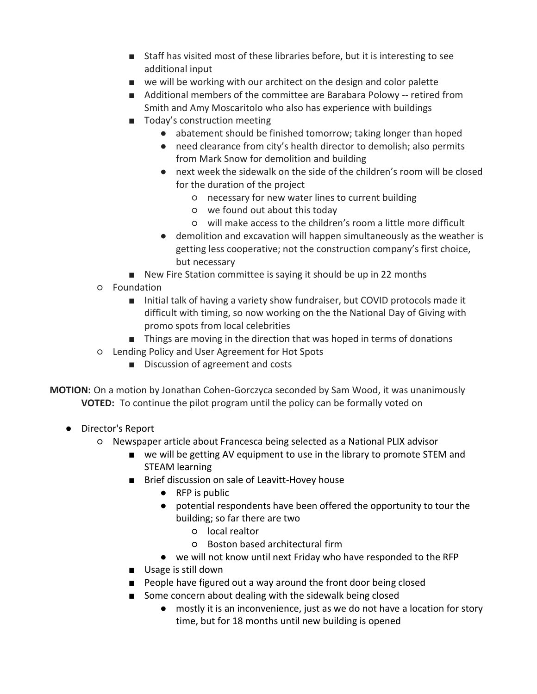- Staff has visited most of these libraries before, but it is interesting to see additional input
- we will be working with our architect on the design and color palette
- Additional members of the committee are Barabara Polowy -- retired from Smith and Amy Moscaritolo who also has experience with buildings
- Today's construction meeting
	- abatement should be finished tomorrow; taking longer than hoped
	- need clearance from city's health director to demolish; also permits from Mark Snow for demolition and building
	- next week the sidewalk on the side of the children's room will be closed for the duration of the project
		- necessary for new water lines to current building
		- we found out about this today
		- will make access to the children's room a little more difficult
	- demolition and excavation will happen simultaneously as the weather is getting less cooperative; not the construction company's first choice, but necessary
- New Fire Station committee is saying it should be up in 22 months
- Foundation
	- Initial talk of having a variety show fundraiser, but COVID protocols made it difficult with timing, so now working on the the National Day of Giving with promo spots from local celebrities
	- Things are moving in the direction that was hoped in terms of donations
- Lending Policy and User Agreement for Hot Spots
	- Discussion of agreement and costs

**MOTION:** On a motion by Jonathan Cohen-Gorczyca seconded by Sam Wood, it was unanimously **VOTED:** To continue the pilot program until the policy can be formally voted on

- Director's Report
	- Newspaper article about Francesca being selected as a National PLIX advisor
		- we will be getting AV equipment to use in the library to promote STEM and STEAM learning
		- Brief discussion on sale of Leavitt-Hovey house
			- RFP is public
			- potential respondents have been offered the opportunity to tour the building; so far there are two
				- local realtor
				- Boston based architectural firm
			- we will not know until next Friday who have responded to the RFP
		- Usage is still down
		- People have figured out a way around the front door being closed
		- Some concern about dealing with the sidewalk being closed
			- mostly it is an inconvenience, just as we do not have a location for story time, but for 18 months until new building is opened